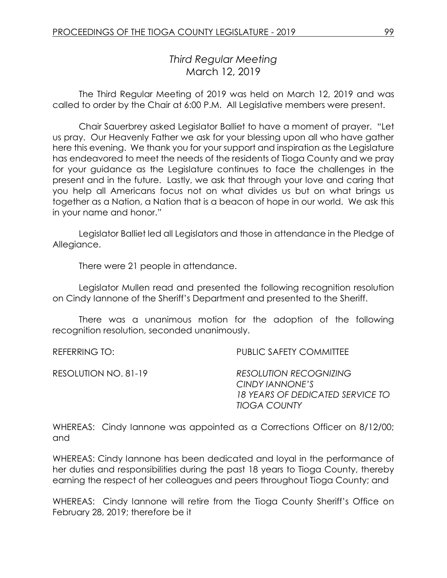# *Third Regular Meeting* March 12, 2019

The Third Regular Meeting of 2019 was held on March 12, 2019 and was called to order by the Chair at 6:00 P.M. All Legislative members were present.

Chair Sauerbrey asked Legislator Balliet to have a moment of prayer. "Let us pray. Our Heavenly Father we ask for your blessing upon all who have gather here this evening. We thank you for your support and inspiration as the Legislature has endeavored to meet the needs of the residents of Tioga County and we pray for your guidance as the Legislature continues to face the challenges in the present and in the future. Lastly, we ask that through your love and caring that you help all Americans focus not on what divides us but on what brings us together as a Nation, a Nation that is a beacon of hope in our world. We ask this in your name and honor."

Legislator Balliet led all Legislators and those in attendance in the Pledge of Allegiance.

There were 21 people in attendance.

Legislator Mullen read and presented the following recognition resolution on Cindy Iannone of the Sheriff's Department and presented to the Sheriff.

There was a unanimous motion for the adoption of the following recognition resolution, seconded unanimously.

REFERRING TO: PUBLIC SAFETY COMMITTEE

RESOLUTION NO. 81-19 *RESOLUTION RECOGNIZING CINDY IANNONE'S 18 YEARS OF DEDICATED SERVICE TO TIOGA COUNTY*

WHEREAS: Cindy Iannone was appointed as a Corrections Officer on 8/12/00; and

WHEREAS: Cindy Iannone has been dedicated and loyal in the performance of her duties and responsibilities during the past 18 years to Tioga County, thereby earning the respect of her colleagues and peers throughout Tioga County; and

WHEREAS: Cindy Iannone will retire from the Tioga County Sheriff's Office on February 28, 2019; therefore be it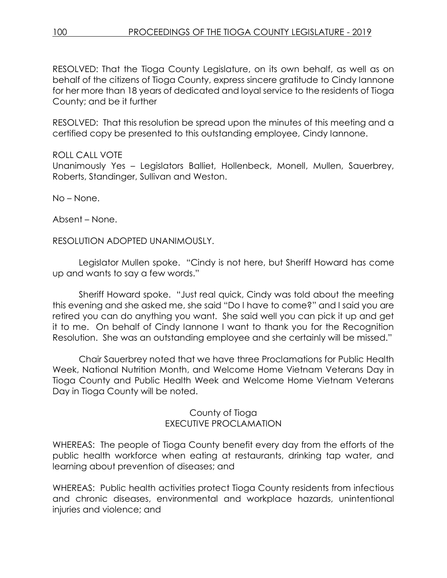RESOLVED: That the Tioga County Legislature, on its own behalf, as well as on behalf of the citizens of Tioga County, express sincere gratitude to Cindy Iannone for her more than 18 years of dedicated and loyal service to the residents of Tioga County; and be it further

RESOLVED: That this resolution be spread upon the minutes of this meeting and a certified copy be presented to this outstanding employee, Cindy Iannone.

## ROLL CALL VOTE

Unanimously Yes – Legislators Balliet, Hollenbeck, Monell, Mullen, Sauerbrey, Roberts, Standinger, Sullivan and Weston.

No – None.

Absent – None.

RESOLUTION ADOPTED UNANIMOUSLY.

Legislator Mullen spoke. "Cindy is not here, but Sheriff Howard has come up and wants to say a few words."

Sheriff Howard spoke. "Just real quick, Cindy was told about the meeting this evening and she asked me, she said "Do I have to come?" and I said you are retired you can do anything you want. She said well you can pick it up and get it to me. On behalf of Cindy Iannone I want to thank you for the Recognition Resolution. She was an outstanding employee and she certainly will be missed."

Chair Sauerbrey noted that we have three Proclamations for Public Health Week, National Nutrition Month, and Welcome Home Vietnam Veterans Day in Tioga County and Public Health Week and Welcome Home Vietnam Veterans Day in Tioga County will be noted.

## County of Tioga EXECUTIVE PROCLAMATION

WHEREAS: The people of Tioga County benefit every day from the efforts of the public health workforce when eating at restaurants, drinking tap water, and learning about prevention of diseases; and

WHEREAS: Public health activities protect Tioga County residents from infectious and chronic diseases, environmental and workplace hazards, unintentional injuries and violence; and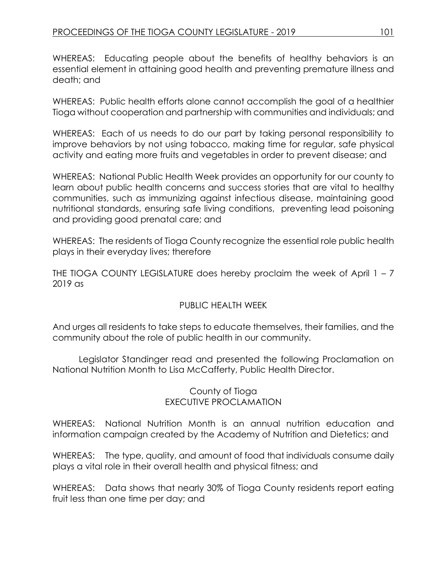WHEREAS: Educating people about the benefits of healthy behaviors is an essential element in attaining good health and preventing premature illness and death; and

WHEREAS: Public health efforts alone cannot accomplish the goal of a healthier Tioga without cooperation and partnership with communities and individuals; and

WHEREAS: Each of us needs to do our part by taking personal responsibility to improve behaviors by not using tobacco, making time for regular, safe physical activity and eating more fruits and vegetables in order to prevent disease; and

WHEREAS: National Public Health Week provides an opportunity for our county to learn about public health concerns and success stories that are vital to healthy communities, such as immunizing against infectious disease, maintaining good nutritional standards, ensuring safe living conditions, preventing lead poisoning and providing good prenatal care; and

WHEREAS: The residents of Tioga County recognize the essential role public health plays in their everyday lives; therefore

THE TIOGA COUNTY LEGISLATURE does hereby proclaim the week of April  $1 - 7$ 2019 as

## PUBLIC HEALTH WEEK

And urges all residents to take steps to educate themselves, their families, and the community about the role of public health in our community.

Legislator Standinger read and presented the following Proclamation on National Nutrition Month to Lisa McCafferty, Public Health Director.

## County of Tioga EXECUTIVE PROCLAMATION

WHEREAS: National Nutrition Month is an annual nutrition education and information campaign created by the Academy of Nutrition and Dietetics; and

WHEREAS: The type, quality, and amount of food that individuals consume daily plays a vital role in their overall health and physical fitness; and

WHEREAS: Data shows that nearly 30% of Tioga County residents report eating fruit less than one time per day; and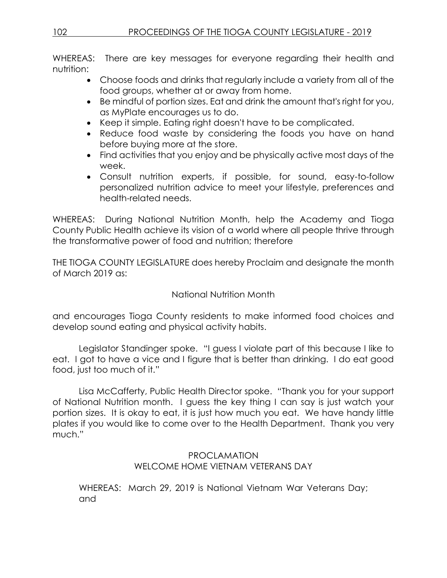WHEREAS: There are key messages for everyone regarding their health and nutrition:

- Choose foods and drinks that regularly include a variety from all of the food groups, whether at or away from home.
- Be mindful of portion sizes. Eat and drink the amount that's right for you, as MyPlate encourages us to do.
- Keep it simple. Eating right doesn't have to be complicated.
- Reduce food waste by considering the foods you have on hand before buying more at the store.
- Find activities that you enjoy and be physically active most days of the week.
- Consult nutrition experts, if possible, for sound, easy-to-follow personalized nutrition advice to meet your lifestyle, preferences and health-related needs.

WHEREAS: During National Nutrition Month, help the Academy and Tioga County Public Health achieve its vision of a world where all people thrive through the transformative power of food and nutrition; therefore

THE TIOGA COUNTY LEGISLATURE does hereby Proclaim and designate the month of March 2019 as:

## National Nutrition Month

and encourages Tioga County residents to make informed food choices and develop sound eating and physical activity habits.

Legislator Standinger spoke. "I guess I violate part of this because I like to eat. I got to have a vice and I figure that is better than drinking. I do eat good food, just too much of it."

Lisa McCafferty, Public Health Director spoke. "Thank you for your support of National Nutrition month. I guess the key thing I can say is just watch your portion sizes. It is okay to eat, it is just how much you eat. We have handy little plates if you would like to come over to the Health Department. Thank you very much."

## PROCLAMATION WELCOME HOME VIETNAM VETERANS DAY

WHEREAS: March 29, 2019 is National Vietnam War Veterans Day; and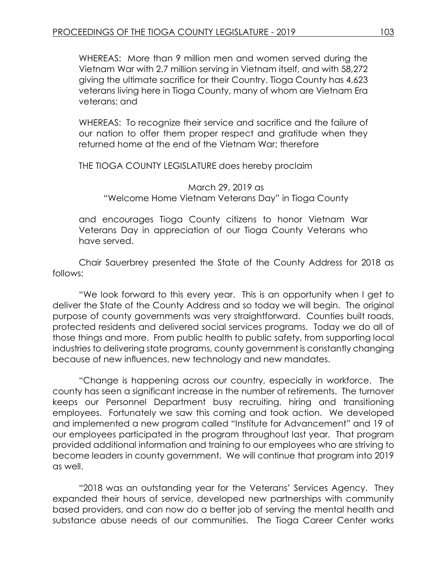WHEREAS: More than 9 million men and women served during the Vietnam War with 2.7 million serving in Vietnam itself, and with 58,272 giving the ultimate sacrifice for their Country. Tioga County has 4,623 veterans living here in Tioga County, many of whom are Vietnam Era veterans; and

WHEREAS: To recognize their service and sacrifice and the failure of our nation to offer them proper respect and gratitude when they returned home at the end of the Vietnam War; therefore

THE TIOGA COUNTY LEGISLATURE does hereby proclaim

March 29, 2019 as "Welcome Home Vietnam Veterans Day" in Tioga County

and encourages Tioga County citizens to honor Vietnam War Veterans Day in appreciation of our Tioga County Veterans who have served.

Chair Sauerbrey presented the State of the County Address for 2018 as follows:

"We look forward to this every year. This is an opportunity when I get to deliver the State of the County Address and so today we will begin. The original purpose of county governments was very straightforward. Counties built roads, protected residents and delivered social services programs. Today we do all of those things and more. From public health to public safety, from supporting local industries to delivering state programs, county government is constantly changing because of new influences, new technology and new mandates.

"Change is happening across our country, especially in workforce. The county has seen a significant increase in the number of retirements. The turnover keeps our Personnel Department busy recruiting, hiring and transitioning employees. Fortunately we saw this coming and took action. We developed and implemented a new program called "Institute for Advancement" and 19 of our employees participated in the program throughout last year. That program provided additional information and training to our employees who are striving to become leaders in county government. We will continue that program into 2019 as well.

"2018 was an outstanding year for the Veterans' Services Agency. They expanded their hours of service, developed new partnerships with community based providers, and can now do a better job of serving the mental health and substance abuse needs of our communities. The Tioga Career Center works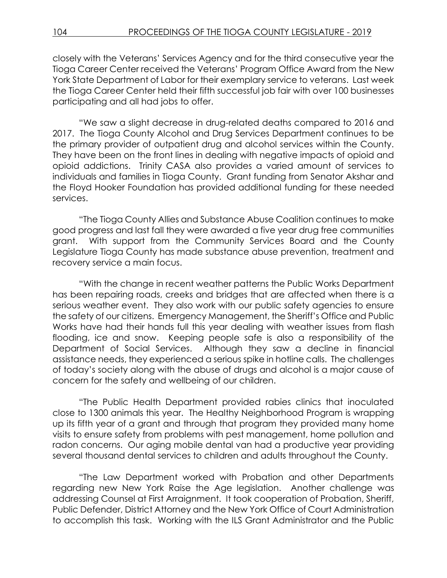closely with the Veterans' Services Agency and for the third consecutive year the Tioga Career Center received the Veterans' Program Office Award from the New York State Department of Labor for their exemplary service to veterans. Last week the Tioga Career Center held their fifth successful job fair with over 100 businesses participating and all had jobs to offer.

"We saw a slight decrease in drug-related deaths compared to 2016 and 2017. The Tioga County Alcohol and Drug Services Department continues to be the primary provider of outpatient drug and alcohol services within the County. They have been on the front lines in dealing with negative impacts of opioid and opioid addictions. Trinity CASA also provides a varied amount of services to individuals and families in Tioga County. Grant funding from Senator Akshar and the Floyd Hooker Foundation has provided additional funding for these needed services.

"The Tioga County Allies and Substance Abuse Coalition continues to make good progress and last fall they were awarded a five year drug free communities grant. With support from the Community Services Board and the County Legislature Tioga County has made substance abuse prevention, treatment and recovery service a main focus.

"With the change in recent weather patterns the Public Works Department has been repairing roads, creeks and bridges that are affected when there is a serious weather event. They also work with our public safety agencies to ensure the safety of our citizens. Emergency Management, the Sheriff's Office and Public Works have had their hands full this year dealing with weather issues from flash flooding, ice and snow. Keeping people safe is also a responsibility of the Department of Social Services. Although they saw a decline in financial assistance needs, they experienced a serious spike in hotline calls. The challenges of today's society along with the abuse of drugs and alcohol is a major cause of concern for the safety and wellbeing of our children.

"The Public Health Department provided rabies clinics that inoculated close to 1300 animals this year. The Healthy Neighborhood Program is wrapping up its fifth year of a grant and through that program they provided many home visits to ensure safety from problems with pest management, home pollution and radon concerns. Our aging mobile dental van had a productive year providing several thousand dental services to children and adults throughout the County.

"The Law Department worked with Probation and other Departments regarding new New York Raise the Age legislation. Another challenge was addressing Counsel at First Arraignment. It took cooperation of Probation, Sheriff, Public Defender, District Attorney and the New York Office of Court Administration to accomplish this task. Working with the ILS Grant Administrator and the Public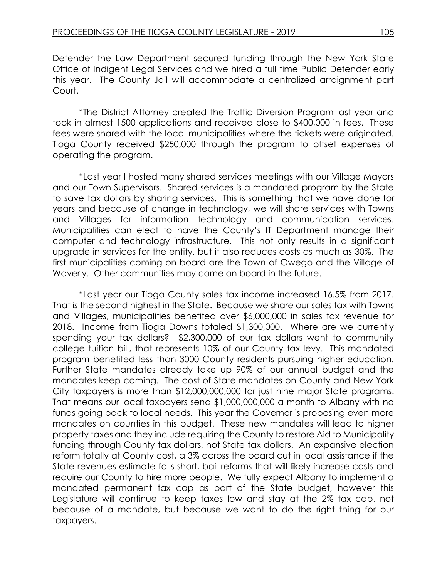Defender the Law Department secured funding through the New York State Office of Indigent Legal Services and we hired a full time Public Defender early this year. The County Jail will accommodate a centralized arraignment part Court.

"The District Attorney created the Traffic Diversion Program last year and took in almost 1500 applications and received close to \$400,000 in fees. These fees were shared with the local municipalities where the tickets were originated. Tioga County received \$250,000 through the program to offset expenses of operating the program.

"Last year I hosted many shared services meetings with our Village Mayors and our Town Supervisors. Shared services is a mandated program by the State to save tax dollars by sharing services. This is something that we have done for years and because of change in technology, we will share services with Towns and Villages for information technology and communication services. Municipalities can elect to have the County's IT Department manage their computer and technology infrastructure. This not only results in a significant upgrade in services for the entity, but it also reduces costs as much as 30%. The first municipalities coming on board are the Town of Owego and the Village of Waverly. Other communities may come on board in the future.

"Last year our Tioga County sales tax income increased 16.5% from 2017. That is the second highest in the State. Because we share our sales tax with Towns and Villages, municipalities benefited over \$6,000,000 in sales tax revenue for 2018. Income from Tioga Downs totaled \$1,300,000. Where are we currently spending your tax dollars? \$2,300,000 of our tax dollars went to community college tuition bill, that represents 10% of our County tax levy. This mandated program benefited less than 3000 County residents pursuing higher education. Further State mandates already take up 90% of our annual budget and the mandates keep coming. The cost of State mandates on County and New York City taxpayers is more than \$12,000,000,000 for just nine major State programs. That means our local taxpayers send \$1,000,000,000 a month to Albany with no funds going back to local needs. This year the Governor is proposing even more mandates on counties in this budget. These new mandates will lead to higher property taxes and they include requiring the County to restore Aid to Municipality funding through County tax dollars, not State tax dollars. An expansive election reform totally at County cost, a 3% across the board cut in local assistance if the State revenues estimate falls short, bail reforms that will likely increase costs and require our County to hire more people. We fully expect Albany to implement a mandated permanent tax cap as part of the State budget, however this Legislature will continue to keep taxes low and stay at the 2% tax cap, not because of a mandate, but because we want to do the right thing for our taxpayers.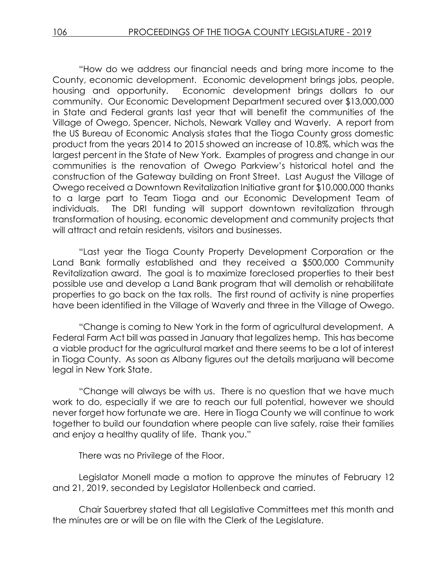"How do we address our financial needs and bring more income to the County, economic development. Economic development brings jobs, people, housing and opportunity. Economic development brings dollars to our community. Our Economic Development Department secured over \$13,000,000 in State and Federal grants last year that will benefit the communities of the Village of Owego, Spencer, Nichols, Newark Valley and Waverly. A report from the US Bureau of Economic Analysis states that the Tioga County gross domestic product from the years 2014 to 2015 showed an increase of 10.8%, which was the largest percent in the State of New York. Examples of progress and change in our communities is the renovation of Owego Parkview's historical hotel and the construction of the Gateway building on Front Street. Last August the Village of Owego received a Downtown Revitalization Initiative grant for \$10,000,000 thanks to a large part to Team Tioga and our Economic Development Team of individuals. The DRI funding will support downtown revitalization through transformation of housing, economic development and community projects that will attract and retain residents, visitors and businesses.

"Last year the Tioga County Property Development Corporation or the Land Bank formally established and they received a \$500,000 Community Revitalization award. The goal is to maximize foreclosed properties to their best possible use and develop a Land Bank program that will demolish or rehabilitate properties to go back on the tax rolls. The first round of activity is nine properties have been identified in the Village of Waverly and three in the Village of Owego.

"Change is coming to New York in the form of agricultural development. A Federal Farm Act bill was passed in January that legalizes hemp. This has become a viable product for the agricultural market and there seems to be a lot of interest in Tioga County. As soon as Albany figures out the details marijuana will become legal in New York State.

"Change will always be with us. There is no question that we have much work to do, especially if we are to reach our full potential, however we should never forget how fortunate we are. Here in Tioga County we will continue to work together to build our foundation where people can live safely, raise their families and enjoy a healthy quality of life. Thank you."

There was no Privilege of the Floor.

Legislator Monell made a motion to approve the minutes of February 12 and 21, 2019, seconded by Legislator Hollenbeck and carried.

Chair Sauerbrey stated that all Legislative Committees met this month and the minutes are or will be on file with the Clerk of the Legislature.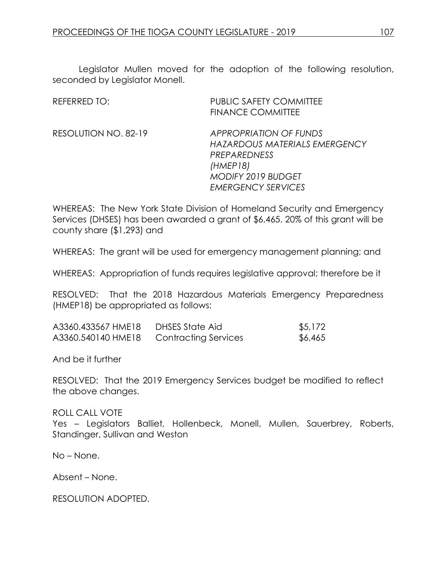Legislator Mullen moved for the adoption of the following resolution, seconded by Legislator Monell.

| REFERRED TO:         | <b>PUBLIC SAFETY COMMITTEE</b><br><b>FINANCE COMMITTEE</b>                                                                                           |
|----------------------|------------------------------------------------------------------------------------------------------------------------------------------------------|
| RESOLUTION NO. 82-19 | <b>APPROPRIATION OF FUNDS</b><br>HAZARDOUS MATERIALS EMERGENCY<br>PREPAREDNESS<br>(HMEP18)<br><b>MODIFY 2019 BUDGET</b><br><b>EMERGENCY SERVICES</b> |

WHEREAS: The New York State Division of Homeland Security and Emergency Services (DHSES) has been awarded a grant of \$6,465. 20% of this grant will be county share (\$1,293) and

WHEREAS: The grant will be used for emergency management planning; and

WHEREAS: Appropriation of funds requires legislative approval; therefore be it

RESOLVED: That the 2018 Hazardous Materials Emergency Preparedness (HMEP18) be appropriated as follows:

| A3360.433567 HME18 | DHSES State Aid             | \$5,172 |
|--------------------|-----------------------------|---------|
| A3360.540140 HME18 | <b>Contracting Services</b> | \$6,465 |

And be it further

RESOLVED: That the 2019 Emergency Services budget be modified to reflect the above changes.

ROLL CALL VOTE Yes - Legislators Balliet, Hollenbeck, Monell, Mullen, Sauerbrey, Roberts, Standinger, Sullivan and Weston

No – None.

Absent – None.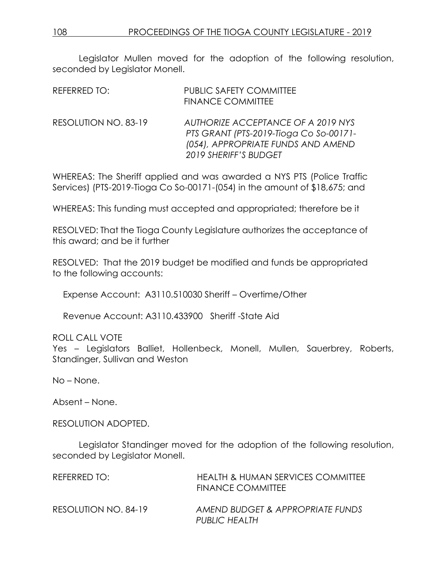Legislator Mullen moved for the adoption of the following resolution, seconded by Legislator Monell.

| REFERRED TO:         | <b>PUBLIC SAFETY COMMITTEE</b><br><b>FINANCE COMMITTEE</b>                                                                                  |
|----------------------|---------------------------------------------------------------------------------------------------------------------------------------------|
| RESOLUTION NO. 83-19 | AUTHORIZE ACCEPTANCE OF A 2019 NYS<br>PTS GRANT (PTS-2019-Tioga Co So-00171-<br>(054), APPROPRIATE FUNDS AND AMEND<br>2019 SHERIFF'S BUDGET |

WHEREAS: The Sheriff applied and was awarded a NYS PTS (Police Traffic Services) (PTS-2019-Tioga Co So-00171-(054) in the amount of \$18,675; and

WHEREAS: This funding must accepted and appropriated; therefore be it

RESOLVED: That the Tioga County Legislature authorizes the acceptance of this award; and be it further

RESOLVED: That the 2019 budget be modified and funds be appropriated to the following accounts:

Expense Account: A3110.510030 Sheriff – Overtime/Other

Revenue Account: A3110.433900 Sheriff -State Aid

ROLL CALL VOTE

Yes – Legislators Balliet, Hollenbeck, Monell, Mullen, Sauerbrey, Roberts, Standinger, Sullivan and Weston

No – None.

Absent – None.

RESOLUTION ADOPTED.

Legislator Standinger moved for the adoption of the following resolution, seconded by Legislator Monell.

| REFERRED TO:         | HEALTH & HUMAN SERVICES COMMITTEE<br><b>FINANCE COMMITTEE</b> |
|----------------------|---------------------------------------------------------------|
| RESOLUTION NO. 84-19 | AMEND BUDGET & APPROPRIATE FUNDS<br>PUBLIC HEALTH             |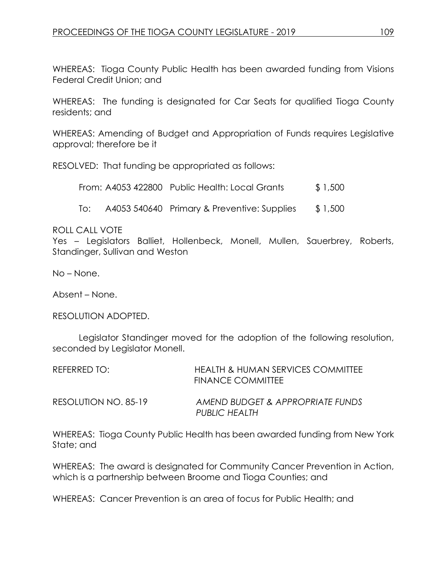WHEREAS: Tioga County Public Health has been awarded funding from Visions Federal Credit Union; and

WHEREAS: The funding is designated for Car Seats for qualified Tioga County residents; and

WHEREAS: Amending of Budget and Appropriation of Funds requires Legislative approval; therefore be it

RESOLVED: That funding be appropriated as follows:

From: A4053 422800 Public Health: Local Grants \$ 1,500

To: A4053 540640 Primary & Preventive: Supplies \$ 1,500

## ROLL CALL VOTE

Yes – Legislators Balliet, Hollenbeck, Monell, Mullen, Sauerbrey, Roberts, Standinger, Sullivan and Weston

No – None.

Absent – None.

RESOLUTION ADOPTED.

Legislator Standinger moved for the adoption of the following resolution, seconded by Legislator Monell.

| REFERRED TO:         | HEALTH & HUMAN SERVICES COMMITTEE<br>FINANCE COMMITTEE |
|----------------------|--------------------------------------------------------|
| RESOLUTION NO. 85-19 | AMEND BUDGET & APPROPRIATE FUNDS<br>PUBLIC HEALTH      |

WHEREAS: Tioga County Public Health has been awarded funding from New York State; and

WHEREAS: The award is designated for Community Cancer Prevention in Action, which is a partnership between Broome and Tioga Counties; and

WHEREAS: Cancer Prevention is an area of focus for Public Health; and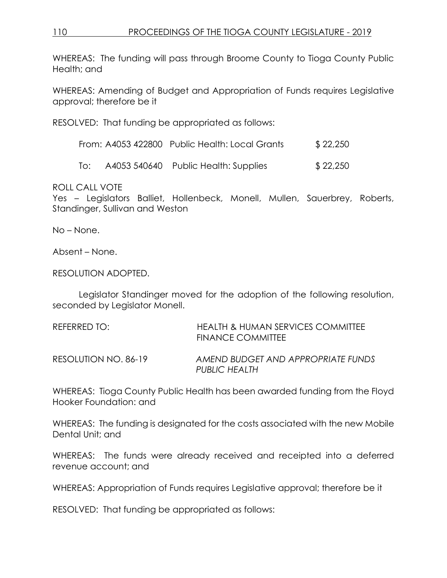WHEREAS: The funding will pass through Broome County to Tioga County Public Health; and

WHEREAS: Amending of Budget and Appropriation of Funds requires Legislative approval; therefore be it

RESOLVED: That funding be appropriated as follows:

| From: A4053 422800 Public Health: Local Grants | \$22,250 |
|------------------------------------------------|----------|
|------------------------------------------------|----------|

To: A4053 540640 Public Health: Supplies \$ 22,250

ROLL CALL VOTE

Yes – Legislators Balliet, Hollenbeck, Monell, Mullen, Sauerbrey, Roberts, Standinger, Sullivan and Weston

No – None.

Absent – None.

RESOLUTION ADOPTED.

Legislator Standinger moved for the adoption of the following resolution, seconded by Legislator Monell.

| REFERRED TO:         | HEALTH & HUMAN SERVICES COMMITTEE<br><b>FINANCE COMMITTEE</b> |
|----------------------|---------------------------------------------------------------|
| RESOLUTION NO. 86-19 | AMEND BUDGET AND APPROPRIATE FUNDS<br>PUBLIC HEALTH           |

WHEREAS: Tioga County Public Health has been awarded funding from the Floyd Hooker Foundation: and

WHEREAS: The funding is designated for the costs associated with the new Mobile Dental Unit; and

WHEREAS: The funds were already received and receipted into a deferred revenue account; and

WHEREAS: Appropriation of Funds requires Legislative approval; therefore be it

RESOLVED: That funding be appropriated as follows: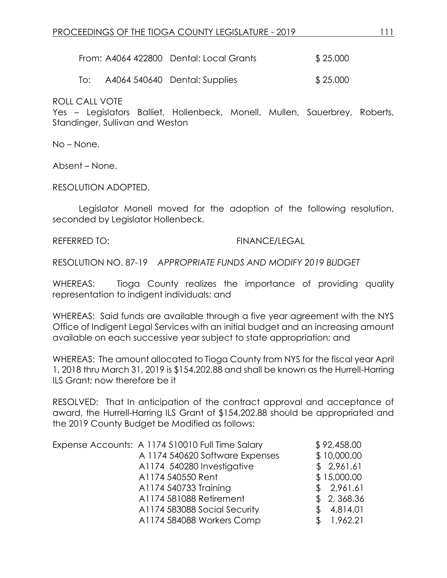|  | From: A4064 422800 Dental: Local Grants | \$25,000 |
|--|-----------------------------------------|----------|
|--|-----------------------------------------|----------|

To: A4064 540640 Dental: Supplies \$ 25,000

ROLL CALL VOTE

Yes – Legislators Balliet, Hollenbeck, Monell, Mullen, Sauerbrey, Roberts, Standinger, Sullivan and Weston

No – None.

Absent – None.

RESOLUTION ADOPTED.

Legislator Monell moved for the adoption of the following resolution, seconded by Legislator Hollenbeck.

#### REFERRED TO: FINANCE/LEGAL

RESOLUTION NO. 87-19 *APPROPRIATE FUNDS AND MODIFY 2019 BUDGET*

WHEREAS: Tioga County realizes the importance of providing quality representation to indigent individuals; and

WHEREAS: Said funds are available through a five year agreement with the NYS Office of Indigent Legal Services with an initial budget and an increasing amount available on each successive year subject to state appropriation; and

WHEREAS: The amount allocated to Tioga County from NYS for the fiscal year April 1, 2018 thru March 31, 2019 is \$154,202.88 and shall be known as the Hurrell-Harring ILS Grant; now therefore be it

RESOLVED: That In anticipation of the contract approval and acceptance of award, the Hurrell-Harring ILS Grant of \$154,202.88 should be appropriated and the 2019 County Budget be Modified as follows:

| Expense Accounts: A 1174 510010 Full Time Salary | \$92,458.00 |
|--------------------------------------------------|-------------|
| A 1174 540620 Software Expenses                  | \$10,000.00 |
| A1174 540280 Investigative                       | \$2,961.61  |
| A1174 540550 Rent                                | \$15,000.00 |
| A1174 540733 Training                            | \$2,961.61  |
| A1174 581088 Retirement                          | \$2,368.36  |
| A1174 583088 Social Security                     | 4,814.01    |
| A1174 584088 Workers Comp                        | 1,962.21    |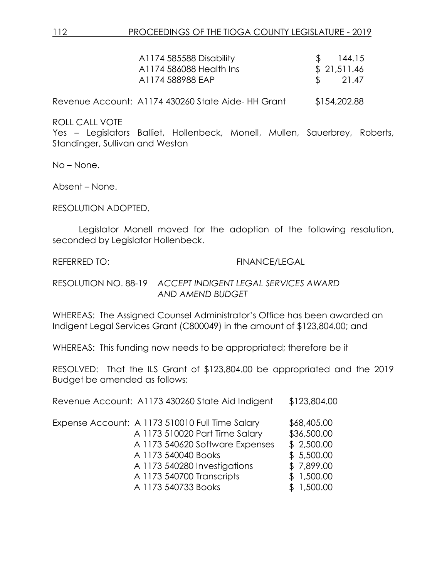| A1174 585588 Disability<br>A1174 586088 Health Ins<br>A1174 588988 EAP | 144.15<br>\$21,511.46<br>$\frac{1}{21.47}$ |
|------------------------------------------------------------------------|--------------------------------------------|
| Revenue Account: A1174 430260 State Aide-HH Grant                      | \$154,202.88                               |

Yes – Legislators Balliet, Hollenbeck, Monell, Mullen, Sauerbrey, Roberts, Standinger, Sullivan and Weston

No – None.

Absent – None.

RESOLUTION ADOPTED.

Legislator Monell moved for the adoption of the following resolution, seconded by Legislator Hollenbeck.

#### REFERRED TO: FINANCE/LEGAL

RESOLUTION NO. 88-19 *ACCEPT INDIGENT LEGAL SERVICES AWARD AND AMEND BUDGET*

WHEREAS: The Assigned Counsel Administrator's Office has been awarded an Indigent Legal Services Grant (C800049) in the amount of \$123,804.00; and

WHEREAS: This funding now needs to be appropriated; therefore be it

RESOLVED: That the ILS Grant of \$123,804.00 be appropriated and the 2019 Budget be amended as follows:

Revenue Account: A1173 430260 State Aid Indigent \$123,804.00

| Expense Account: A 1173 510010 Full Time Salary |                           |                                 | \$68,405.00 |
|-------------------------------------------------|---------------------------|---------------------------------|-------------|
|                                                 |                           | A 1173 510020 Part Time Salary  | \$36,500.00 |
|                                                 |                           | A 1173 540620 Software Expenses | \$2,500.00  |
|                                                 | A 1173 540040 Books       |                                 | \$5,500.00  |
|                                                 |                           | A 1173 540280 Investigations    | \$7,899.00  |
|                                                 | A 1173 540700 Transcripts |                                 | \$1,500.00  |
|                                                 | A 1173 540733 Books       |                                 | \$1,500.00  |
|                                                 |                           |                                 |             |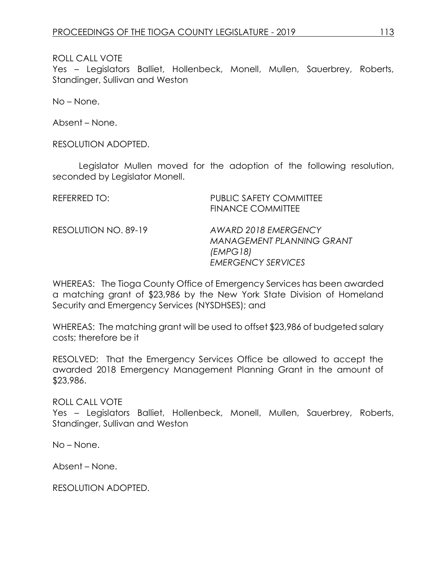Yes – Legislators Balliet, Hollenbeck, Monell, Mullen, Sauerbrey, Roberts, Standinger, Sullivan and Weston

No – None.

Absent – None.

RESOLUTION ADOPTED.

Legislator Mullen moved for the adoption of the following resolution, seconded by Legislator Monell.

| REFERRED TO:         | <b>PUBLIC SAFETY COMMITTEE</b><br><b>FINANCE COMMITTEE</b>                                         |
|----------------------|----------------------------------------------------------------------------------------------------|
| RESOLUTION NO. 89-19 | AWARD 2018 EMERGENCY<br><b>MANAGEMENT PLANNING GRANT</b><br>(EMPG 18)<br><b>EMERGENCY SERVICES</b> |

WHEREAS: The Tioga County Office of Emergency Services has been awarded a matching grant of \$23,986 by the New York State Division of Homeland Security and Emergency Services (NYSDHSES); and

WHEREAS: The matching grant will be used to offset \$23,986 of budgeted salary costs; therefore be it

RESOLVED: That the Emergency Services Office be allowed to accept the awarded 2018 Emergency Management Planning Grant in the amount of \$23,986.

ROLL CALL VOTE

Yes – Legislators Balliet, Hollenbeck, Monell, Mullen, Sauerbrey, Roberts, Standinger, Sullivan and Weston

No – None.

Absent – None.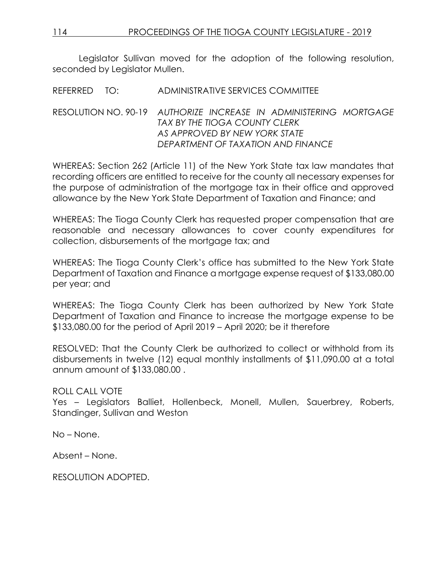Legislator Sullivan moved for the adoption of the following resolution, seconded by Legislator Mullen.

## REFERRED TO: ADMINISTRATIVE SERVICES COMMITTEE

## RESOLUTION NO. 90-19 *AUTHORIZE INCREASE IN ADMINISTERING MORTGAGE TAX BY THE TIOGA COUNTY CLERK AS APPROVED BY NEW YORK STATE DEPARTMENT OF TAXATION AND FINANCE*

WHEREAS: Section 262 (Article 11) of the New York State tax law mandates that recording officers are entitled to receive for the county all necessary expenses for the purpose of administration of the mortgage tax in their office and approved allowance by the New York State Department of Taxation and Finance; and

WHEREAS: The Tioga County Clerk has requested proper compensation that are reasonable and necessary allowances to cover county expenditures for collection, disbursements of the mortgage tax; and

WHEREAS: The Tioga County Clerk's office has submitted to the New York State Department of Taxation and Finance a mortgage expense request of \$133,080.00 per year; and

WHEREAS: The Tioga County Clerk has been authorized by New York State Department of Taxation and Finance to increase the mortgage expense to be \$133,080.00 for the period of April 2019 – April 2020; be it therefore

RESOLVED: That the County Clerk be authorized to collect or withhold from its disbursements in twelve (12) equal monthly installments of \$11,090.00 at a total annum amount of \$133,080.00 .

## ROLL CALL VOTE

Yes – Legislators Balliet, Hollenbeck, Monell, Mullen, Sauerbrey, Roberts, Standinger, Sullivan and Weston

No – None.

Absent – None.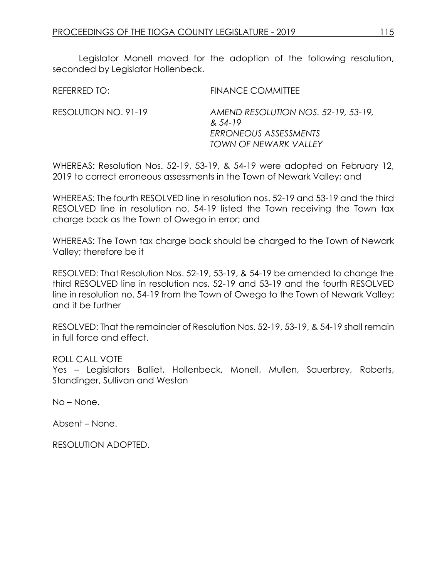Legislator Monell moved for the adoption of the following resolution, seconded by Legislator Hollenbeck.

REFERRED TO: FINANCE COMMITTEE RESOLUTION NO. 91-19 *AMEND RESOLUTION NOS. 52-19, 53-19, & 54-19 ERRONEOUS ASSESSMENTS TOWN OF NEWARK VALLEY*

WHEREAS: Resolution Nos. 52-19, 53-19, & 54-19 were adopted on February 12, 2019 to correct erroneous assessments in the Town of Newark Valley; and

WHEREAS: The fourth RESOLVED line in resolution nos. 52-19 and 53-19 and the third RESOLVED line in resolution no. 54-19 listed the Town receiving the Town tax charge back as the Town of Owego in error; and

WHEREAS: The Town tax charge back should be charged to the Town of Newark Valley; therefore be it

RESOLVED: That Resolution Nos. 52-19, 53-19, & 54-19 be amended to change the third RESOLVED line in resolution nos. 52-19 and 53-19 and the fourth RESOLVED line in resolution no. 54-19 from the Town of Owego to the Town of Newark Valley; and it be further

RESOLVED: That the remainder of Resolution Nos. 52-19, 53-19, & 54-19 shall remain in full force and effect.

#### ROLL CALL VOTE

Yes – Legislators Balliet, Hollenbeck, Monell, Mullen, Sauerbrey, Roberts, Standinger, Sullivan and Weston

No – None.

Absent – None.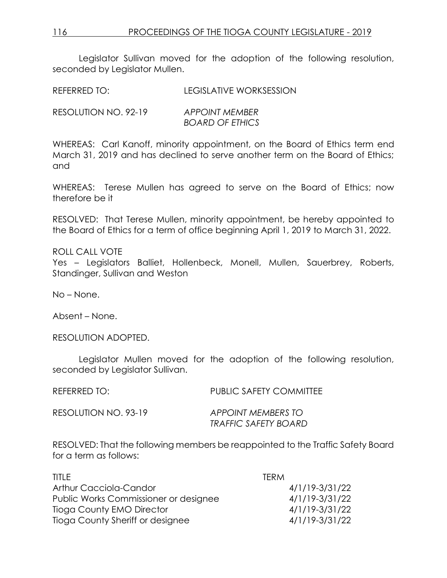Legislator Sullivan moved for the adoption of the following resolution, seconded by Legislator Mullen.

REFERRED TO: LEGISLATIVE WORKSESSION

RESOLUTION NO. 92-19 *APPOINT MEMBER BOARD OF ETHICS*

WHEREAS: Carl Kanoff, minority appointment, on the Board of Ethics term end March 31, 2019 and has declined to serve another term on the Board of Ethics; and

WHEREAS: Terese Mullen has agreed to serve on the Board of Ethics; now therefore be it

RESOLVED: That Terese Mullen, minority appointment, be hereby appointed to the Board of Ethics for a term of office beginning April 1, 2019 to March 31, 2022.

ROLL CALL VOTE Yes - Legislators Balliet, Hollenbeck, Monell, Mullen, Sauerbrey, Roberts, Standinger, Sullivan and Weston

No – None.

Absent – None.

RESOLUTION ADOPTED.

Legislator Mullen moved for the adoption of the following resolution, seconded by Legislator Sullivan.

REFERRED TO: PUBLIC SAFETY COMMITTEE RESOLUTION NO. 93-19 *APPOINT MEMBERS TO TRAFFIC SAFETY BOARD*

RESOLVED: That the following members be reappointed to the Traffic Safety Board for a term as follows:

| TITI F                                | TERM.          |
|---------------------------------------|----------------|
| Arthur Cacciola-Candor                | 4/1/19-3/31/22 |
| Public Works Commissioner or designee | 4/1/19-3/31/22 |
| Tioga County EMO Director             | 4/1/19-3/31/22 |
| Tioga County Sheriff or designee      | 4/1/19-3/31/22 |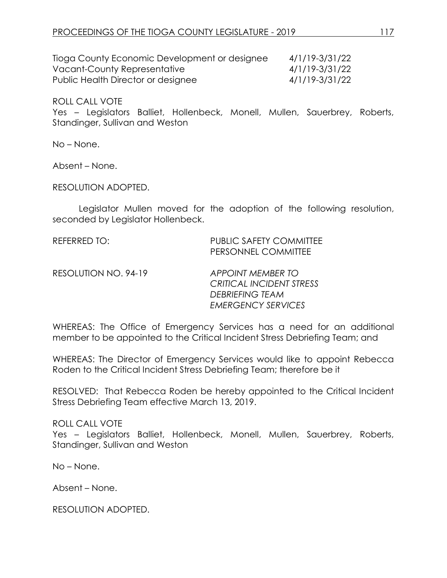| Tioga County Economic Development or designee | 4/1/19-3/31/22 |
|-----------------------------------------------|----------------|
| Vacant-County Representative                  | 4/1/19-3/31/22 |
| Public Health Director or designee            | 4/1/19-3/31/22 |

Yes – Legislators Balliet, Hollenbeck, Monell, Mullen, Sauerbrey, Roberts, Standinger, Sullivan and Weston

No – None.

Absent – None.

RESOLUTION ADOPTED.

Legislator Mullen moved for the adoption of the following resolution, seconded by Legislator Hollenbeck.

REFERRED TO: PUBLIC SAFETY COMMITTEE PERSONNEL COMMITTEE

RESOLUTION NO. 94-19 *APPOINT MEMBER TO*

*CRITICAL INCIDENT STRESS DEBRIEFING TEAM EMERGENCY SERVICES*

WHEREAS: The Office of Emergency Services has a need for an additional member to be appointed to the Critical Incident Stress Debriefing Team; and

WHEREAS: The Director of Emergency Services would like to appoint Rebecca Roden to the Critical Incident Stress Debriefing Team; therefore be it

RESOLVED: That Rebecca Roden be hereby appointed to the Critical Incident Stress Debriefing Team effective March 13, 2019.

ROLL CALL VOTE

Yes – Legislators Balliet, Hollenbeck, Monell, Mullen, Sauerbrey, Roberts, Standinger, Sullivan and Weston

No – None.

Absent – None.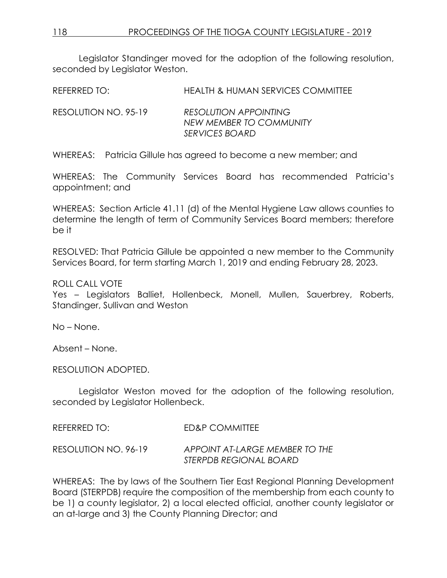Legislator Standinger moved for the adoption of the following resolution, seconded by Legislator Weston.

REFERRED TO: HEALTH & HUMAN SERVICES COMMITTEE

RESOLUTION NO. 95-19 *RESOLUTION APPOINTING NEW MEMBER TO COMMUNITY SERVICES BOARD*

WHEREAS: Patricia Gillule has agreed to become a new member; and

WHEREAS: The Community Services Board has recommended Patricia's appointment; and

WHEREAS: Section Article 41.11 (d) of the Mental Hygiene Law allows counties to determine the length of term of Community Services Board members; therefore be it

RESOLVED: That Patricia Gillule be appointed a new member to the Community Services Board, for term starting March 1, 2019 and ending February 28, 2023.

## ROLL CALL VOTE

Yes - Legislators Balliet, Hollenbeck, Monell, Mullen, Sauerbrey, Roberts, Standinger, Sullivan and Weston

No – None.

Absent – None.

RESOLUTION ADOPTED.

Legislator Weston moved for the adoption of the following resolution, seconded by Legislator Hollenbeck.

REFERRED TO: ED&P COMMITTEE

RESOLUTION NO. 96-19 *APPOINT AT-LARGE MEMBER TO THE STERPDB REGIONAL BOARD*

WHEREAS: The by laws of the Southern Tier East Regional Planning Development Board (STERPDB) require the composition of the membership from each county to be 1) a county legislator, 2) a local elected official, another county legislator or an at-large and 3) the County Planning Director; and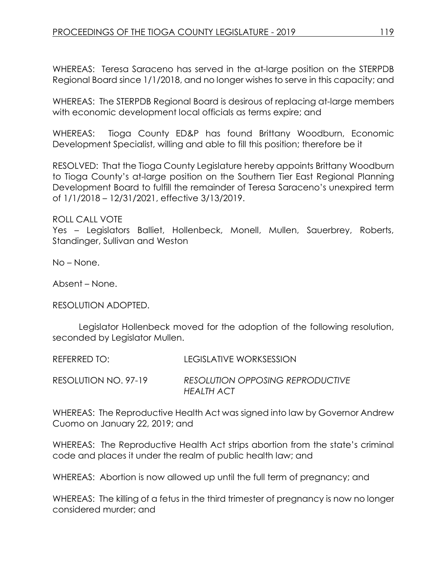WHEREAS: Teresa Saraceno has served in the at-large position on the STERPDB Regional Board since 1/1/2018, and no longer wishes to serve in this capacity; and

WHEREAS: The STERPDB Regional Board is desirous of replacing at-large members with economic development local officials as terms expire; and

WHEREAS: Tioga County ED&P has found Brittany Woodburn, Economic Development Specialist, willing and able to fill this position; therefore be it

RESOLVED: That the Tioga County Legislature hereby appoints Brittany Woodburn to Tioga County's at-large position on the Southern Tier East Regional Planning Development Board to fulfill the remainder of Teresa Saraceno's unexpired term of 1/1/2018 – 12/31/2021, effective 3/13/2019.

ROLL CALL VOTE

Yes – Legislators Balliet, Hollenbeck, Monell, Mullen, Sauerbrey, Roberts, Standinger, Sullivan and Weston

No – None.

Absent – None.

RESOLUTION ADOPTED.

Legislator Hollenbeck moved for the adoption of the following resolution, seconded by Legislator Mullen.

REFERRED TO: LEGISLATIVE WORKSESSION

RESOLUTION NO. 97-19 *RESOLUTION OPPOSING REPRODUCTIVE HEALTH ACT*

WHEREAS: The Reproductive Health Act was signed into law by Governor Andrew Cuomo on January 22, 2019; and

WHEREAS: The Reproductive Health Act strips abortion from the state's criminal code and places it under the realm of public health law; and

WHEREAS: Abortion is now allowed up until the full term of pregnancy; and

WHEREAS: The killing of a fetus in the third trimester of pregnancy is now no longer considered murder; and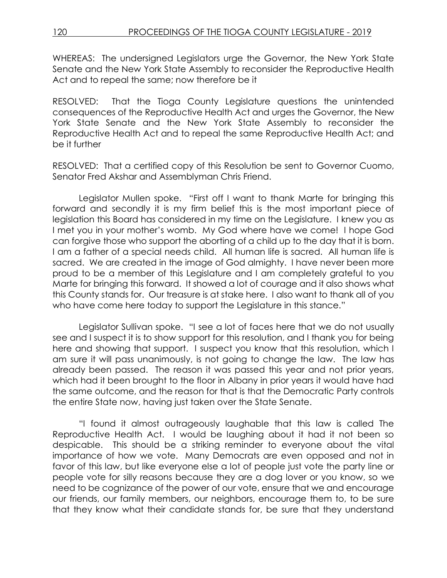WHEREAS: The undersigned Legislators urge the Governor, the New York State Senate and the New York State Assembly to reconsider the Reproductive Health Act and to repeal the same; now therefore be it

RESOLVED: That the Tioga County Legislature questions the unintended consequences of the Reproductive Health Act and urges the Governor, the New York State Senate and the New York State Assembly to reconsider the Reproductive Health Act and to repeal the same Reproductive Health Act; and be it further

RESOLVED: That a certified copy of this Resolution be sent to Governor Cuomo, Senator Fred Akshar and Assemblyman Chris Friend.

Legislator Mullen spoke. "First off I want to thank Marte for bringing this forward and secondly it is my firm belief this is the most important piece of legislation this Board has considered in my time on the Legislature. I knew you as I met you in your mother's womb. My God where have we come! I hope God can forgive those who support the aborting of a child up to the day that it is born. I am a father of a special needs child. All human life is sacred. All human life is sacred. We are created in the image of God almighty. I have never been more proud to be a member of this Legislature and I am completely grateful to you Marte for bringing this forward. It showed a lot of courage and it also shows what this County stands for. Our treasure is at stake here. I also want to thank all of you who have come here today to support the Legislature in this stance."

Legislator Sullivan spoke. "I see a lot of faces here that we do not usually see and I suspect it is to show support for this resolution, and I thank you for being here and showing that support. I suspect you know that this resolution, which I am sure it will pass unanimously, is not going to change the law. The law has already been passed. The reason it was passed this year and not prior years, which had it been brought to the floor in Albany in prior years it would have had the same outcome, and the reason for that is that the Democratic Party controls the entire State now, having just taken over the State Senate.

"I found it almost outrageously laughable that this law is called The Reproductive Health Act. I would be laughing about it had it not been so despicable. This should be a striking reminder to everyone about the vital importance of how we vote. Many Democrats are even opposed and not in favor of this law, but like everyone else a lot of people just vote the party line or people vote for silly reasons because they are a dog lover or you know, so we need to be cognizance of the power of our vote, ensure that we and encourage our friends, our family members, our neighbors, encourage them to, to be sure that they know what their candidate stands for, be sure that they understand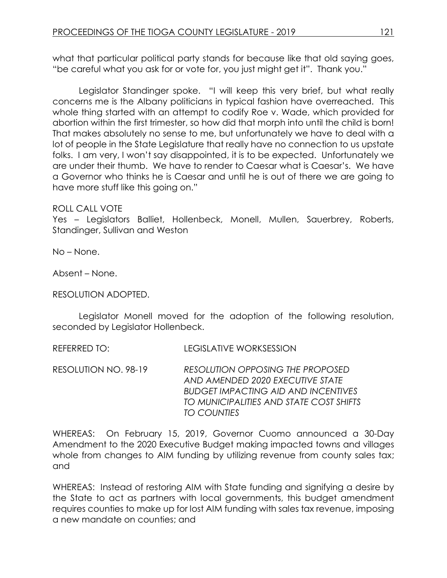what that particular political party stands for because like that old saying goes, "be careful what you ask for or vote for, you just might get it". Thank you."

Legislator Standinger spoke. "I will keep this very brief, but what really concerns me is the Albany politicians in typical fashion have overreached. This whole thing started with an attempt to codify Roe v. Wade, which provided for abortion within the first trimester, so how did that morph into until the child is born! That makes absolutely no sense to me, but unfortunately we have to deal with a lot of people in the State Legislature that really have no connection to us upstate folks. I am very, I won't say disappointed, it is to be expected. Unfortunately we are under their thumb. We have to render to Caesar what is Caesar's. We have a Governor who thinks he is Caesar and until he is out of there we are going to have more stuff like this going on."

## ROLL CALL VOTE

Yes – Legislators Balliet, Hollenbeck, Monell, Mullen, Sauerbrey, Roberts, Standinger, Sullivan and Weston

No – None.

Absent – None.

#### RESOLUTION ADOPTED.

Legislator Monell moved for the adoption of the following resolution, seconded by Legislator Hollenbeck.

REFERRED TO: LEGISLATIVE WORKSESSION

RESOLUTION NO. 98-19 *RESOLUTION OPPOSING THE PROPOSED AND AMENDED 2020 EXECUTIVE STATE BUDGET IMPACTING AID AND INCENTIVES TO MUNICIPALITIES AND STATE COST SHIFTS TO COUNTIES*

WHEREAS: On February 15, 2019, Governor Cuomo announced a 30-Day Amendment to the 2020 Executive Budget making impacted towns and villages whole from changes to AIM funding by utilizing revenue from county sales tax; and

WHEREAS: Instead of restoring AIM with State funding and signifying a desire by the State to act as partners with local governments, this budget amendment requires counties to make up for lost AIM funding with sales tax revenue, imposing a new mandate on counties; and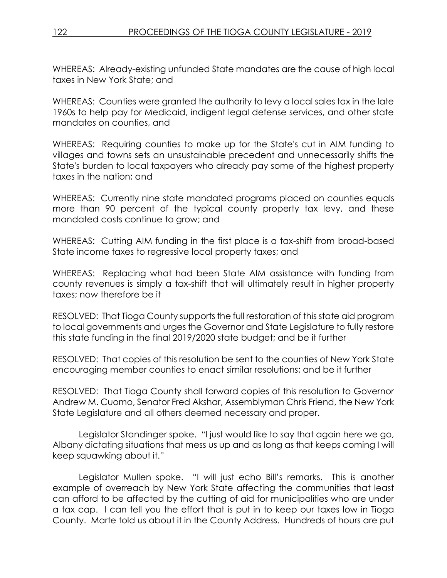WHEREAS: Already-existing unfunded State mandates are the cause of high local taxes in New York State; and

WHEREAS: Counties were granted the authority to levy a local sales tax in the late 1960s to help pay for Medicaid, indigent legal defense services, and other state mandates on counties, and

WHEREAS: Requiring counties to make up for the State's cut in AIM funding to villages and towns sets an unsustainable precedent and unnecessarily shifts the State's burden to local taxpayers who already pay some of the highest property taxes in the nation; and

WHEREAS: Currently nine state mandated programs placed on counties equals more than 90 percent of the typical county property tax levy, and these mandated costs continue to grow; and

WHEREAS: Cutting AIM funding in the first place is a tax-shift from broad-based State income taxes to regressive local property taxes; and

WHEREAS: Replacing what had been State AIM assistance with funding from county revenues is simply a tax-shift that will ultimately result in higher property taxes; now therefore be it

RESOLVED: That Tioga County supports the full restoration of this state aid program to local governments and urges the Governor and State Legislature to fully restore this state funding in the final 2019/2020 state budget; and be it further

RESOLVED: That copies of this resolution be sent to the counties of New York State encouraging member counties to enact similar resolutions; and be it further

RESOLVED: That Tioga County shall forward copies of this resolution to Governor Andrew M. Cuomo, Senator Fred Akshar, Assemblyman Chris Friend, the New York State Legislature and all others deemed necessary and proper.

Legislator Standinger spoke. "I just would like to say that again here we go, Albany dictating situations that mess us up and as long as that keeps coming I will keep squawking about it."

Legislator Mullen spoke. "I will just echo Bill's remarks. This is another example of overreach by New York State affecting the communities that least can afford to be affected by the cutting of aid for municipalities who are under a tax cap. I can tell you the effort that is put in to keep our taxes low in Tioga County. Marte told us about it in the County Address. Hundreds of hours are put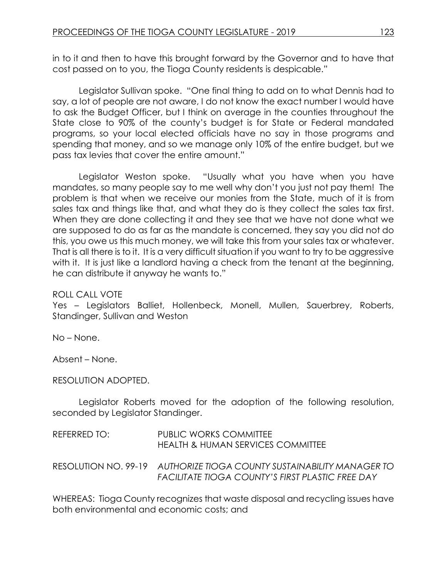in to it and then to have this brought forward by the Governor and to have that cost passed on to you, the Tioga County residents is despicable."

Legislator Sullivan spoke. "One final thing to add on to what Dennis had to say, a lot of people are not aware, I do not know the exact number I would have to ask the Budget Officer, but I think on average in the counties throughout the State close to 90% of the county's budget is for State or Federal mandated programs, so your local elected officials have no say in those programs and spending that money, and so we manage only 10% of the entire budget, but we pass tax levies that cover the entire amount."

Legislator Weston spoke. "Usually what you have when you have mandates, so many people say to me well why don't you just not pay them! The problem is that when we receive our monies from the State, much of it is from sales tax and things like that, and what they do is they collect the sales tax first. When they are done collecting it and they see that we have not done what we are supposed to do as far as the mandate is concerned, they say you did not do this, you owe us this much money, we will take this from your sales tax or whatever. That is all there is to it. It is a very difficult situation if you want to try to be aggressive with it. It is just like a landlord having a check from the tenant at the beginning, he can distribute it anyway he wants to."

#### ROLL CALL VOTE

Yes – Legislators Balliet, Hollenbeck, Monell, Mullen, Sauerbrey, Roberts, Standinger, Sullivan and Weston

No – None.

Absent – None.

#### RESOLUTION ADOPTED.

Legislator Roberts moved for the adoption of the following resolution, seconded by Legislator Standinger.

| REFERRED TO: | PUBLIC WORKS COMMITTEE<br>HEALTH & HUMAN SERVICES COMMITTEE                                                                      |
|--------------|----------------------------------------------------------------------------------------------------------------------------------|
|              | RESOLUTION NO. 99-19 AUTHORIZE TIOGA COUNTY SUSTAINABILITY MANAGER TO<br><b>FACILITATE TIOGA COUNTY'S FIRST PLASTIC FREE DAY</b> |

WHEREAS: Tioga County recognizes that waste disposal and recycling issues have both environmental and economic costs; and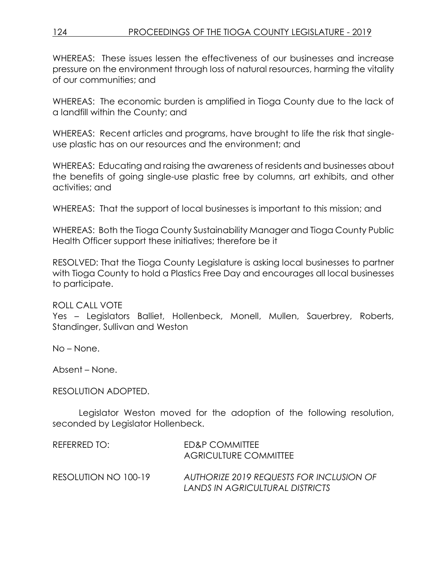WHEREAS: These issues lessen the effectiveness of our businesses and increase pressure on the environment through loss of natural resources, harming the vitality of our communities; and

WHEREAS: The economic burden is amplified in Tioga County due to the lack of a landfill within the County; and

WHEREAS: Recent articles and programs, have brought to life the risk that singleuse plastic has on our resources and the environment; and

WHEREAS: Educating and raising the awareness of residents and businesses about the benefits of going single-use plastic free by columns, art exhibits, and other activities; and

WHEREAS: That the support of local businesses is important to this mission; and

WHEREAS: Both the Tioga County Sustainability Manager and Tioga County Public Health Officer support these initiatives; therefore be it

RESOLVED: That the Tioga County Legislature is asking local businesses to partner with Tioga County to hold a Plastics Free Day and encourages all local businesses to participate.

## ROLL CALL VOTE

Yes – Legislators Balliet, Hollenbeck, Monell, Mullen, Sauerbrey, Roberts, Standinger, Sullivan and Weston

No – None.

Absent – None.

RESOLUTION ADOPTED.

Legislator Weston moved for the adoption of the following resolution, seconded by Legislator Hollenbeck.

| REFERRED TO:         | ED&P COMMITTEE<br>AGRICULTURE COMMITTEE                                     |
|----------------------|-----------------------------------------------------------------------------|
| RESOLUTION NO 100-19 | AUTHORIZE 2019 REQUESTS FOR INCLUSION OF<br>LANDS IN AGRICULTURAL DISTRICTS |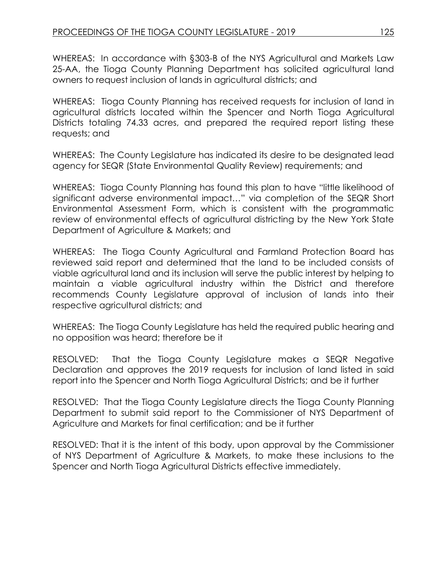WHEREAS: In accordance with §303-B of the NYS Agricultural and Markets Law 25-AA, the Tioga County Planning Department has solicited agricultural land owners to request inclusion of lands in agricultural districts; and

WHEREAS: Tioga County Planning has received requests for inclusion of land in agricultural districts located within the Spencer and North Tioga Agricultural Districts totaling 74.33 acres, and prepared the required report listing these requests; and

WHEREAS: The County Legislature has indicated its desire to be designated lead agency for SEQR (State Environmental Quality Review) requirements; and

WHEREAS: Tioga County Planning has found this plan to have "little likelihood of significant adverse environmental impact…" via completion of the SEQR Short Environmental Assessment Form, which is consistent with the programmatic review of environmental effects of agricultural districting by the New York State Department of Agriculture & Markets; and

WHEREAS: The Tioga County Agricultural and Farmland Protection Board has reviewed said report and determined that the land to be included consists of viable agricultural land and its inclusion will serve the public interest by helping to maintain a viable agricultural industry within the District and therefore recommends County Legislature approval of inclusion of lands into their respective agricultural districts; and

WHEREAS: The Tioga County Legislature has held the required public hearing and no opposition was heard; therefore be it

RESOLVED: That the Tioga County Legislature makes a SEQR Negative Declaration and approves the 2019 requests for inclusion of land listed in said report into the Spencer and North Tioga Agricultural Districts; and be it further

RESOLVED: That the Tioga County Legislature directs the Tioga County Planning Department to submit said report to the Commissioner of NYS Department of Agriculture and Markets for final certification; and be it further

RESOLVED: That it is the intent of this body, upon approval by the Commissioner of NYS Department of Agriculture & Markets, to make these inclusions to the Spencer and North Tioga Agricultural Districts effective immediately.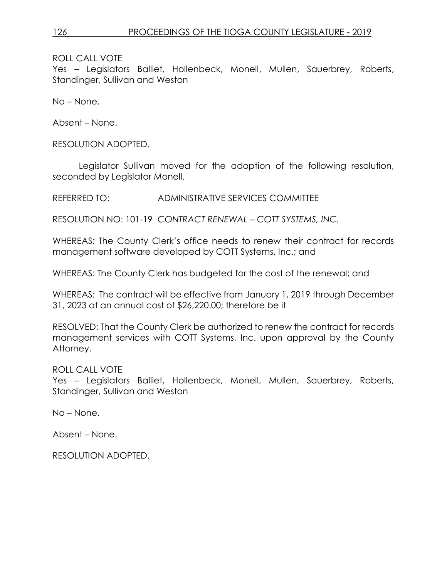Yes – Legislators Balliet, Hollenbeck, Monell, Mullen, Sauerbrey, Roberts, Standinger, Sullivan and Weston

No – None.

Absent – None.

RESOLUTION ADOPTED.

Legislator Sullivan moved for the adoption of the following resolution, seconded by Legislator Monell.

REFERRED TO: ADMINISTRATIVE SERVICES COMMITTEE

RESOLUTION NO: 101-19 *CONTRACT RENEWAL – COTT SYSTEMS, INC.*

WHEREAS: The County Clerk's office needs to renew their contract for records management software developed by COTT Systems, Inc.; and

WHEREAS: The County Clerk has budgeted for the cost of the renewal; and

WHEREAS: The contract will be effective from January 1, 2019 through December 31, 2023 at an annual cost of \$26,220.00; therefore be it

RESOLVED: That the County Clerk be authorized to renew the contract for records management services with COTT Systems, Inc. upon approval by the County Attorney.

ROLL CALL VOTE

Yes – Legislators Balliet, Hollenbeck, Monell, Mullen, Sauerbrey, Roberts, Standinger, Sullivan and Weston

No – None.

Absent – None.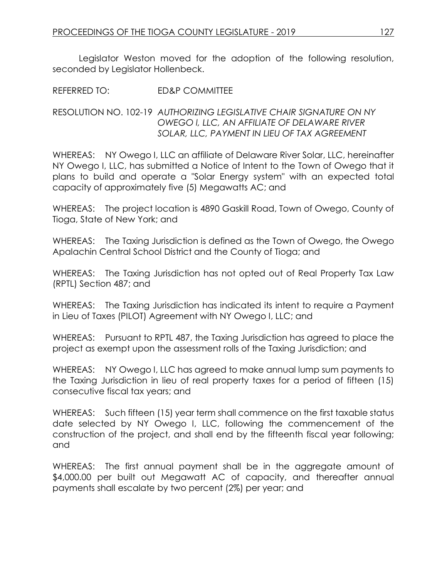Legislator Weston moved for the adoption of the following resolution, seconded by Legislator Hollenbeck.

REFERRED TO: ED&P COMMITTEE

## RESOLUTION NO. 102-19 *AUTHORIZING LEGISLATIVE CHAIR SIGNATURE ON NY OWEGO l, LLC, AN AFFILIATE OF DELAWARE RIVER SOLAR, LLC, PAYMENT IN LIEU OF TAX AGREEMENT*

WHEREAS: NY Owego I, LLC an affiliate of Delaware River Solar, LLC, hereinafter NY Owego I, LLC, has submitted a Notice of Intent to the Town of Owego that it plans to build and operate a "Solar Energy system" with an expected total capacity of approximately five (5) Megawatts AC; and

WHEREAS: The project location is 4890 Gaskill Road, Town of Owego, County of Tioga, State of New York; and

WHEREAS: The Taxing Jurisdiction is defined as the Town of Owego, the Owego Apalachin Central School District and the County of Tioga; and

WHEREAS: The Taxing Jurisdiction has not opted out of Real Property Tax Law (RPTL) Section 487; and

WHEREAS: The Taxing Jurisdiction has indicated its intent to require a Payment in Lieu of Taxes (PILOT) Agreement with NY Owego I, LLC; and

WHEREAS: Pursuant to RPTL 487, the Taxing Jurisdiction has agreed to place the project as exempt upon the assessment rolls of the Taxing Jurisdiction; and

WHEREAS: NY Owego I, LLC has agreed to make annual lump sum payments to the Taxing Jurisdiction in lieu of real property taxes for a period of fifteen (15) consecutive fiscal tax years; and

WHEREAS: Such fifteen (15) year term shall commence on the first taxable status date selected by NY Owego I, LLC, following the commencement of the construction of the project, and shall end by the fifteenth fiscal year following; and

WHEREAS: The first annual payment shall be in the aggregate amount of \$4,000.00 per built out Megawatt AC of capacity, and thereafter annual payments shall escalate by two percent (2%) per year; and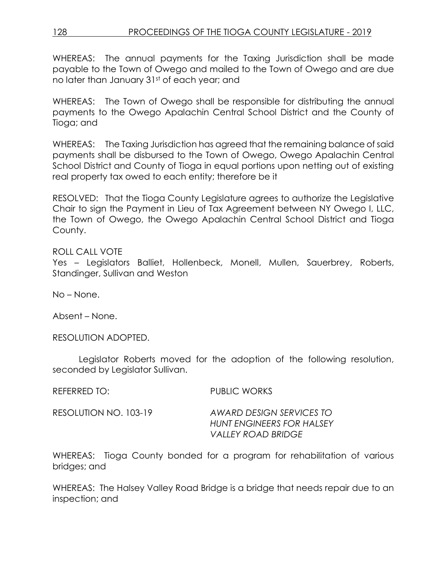## 128 PROCEEDINGS OF THE TIOGA COUNTY LEGISLATURE - 2019

WHEREAS: The annual payments for the Taxing Jurisdiction shall be made payable to the Town of Owego and mailed to the Town of Owego and are due no later than January 31st of each year; and

WHEREAS: The Town of Owego shall be responsible for distributing the annual payments to the Owego Apalachin Central School District and the County of Tioga; and

WHEREAS: The Taxing Jurisdiction has agreed that the remaining balance of said payments shall be disbursed to the Town of Owego, Owego Apalachin Central School District and County of Tioga in equal portions upon netting out of existing real property tax owed to each entity; therefore be it

RESOLVED: That the Tioga County Legislature agrees to authorize the Legislative Chair to sign the Payment in Lieu of Tax Agreement between NY Owego I, LLC, the Town of Owego, the Owego Apalachin Central School District and Tioga County.

## ROLL CALL VOTE

Yes – Legislators Balliet, Hollenbeck, Monell, Mullen, Sauerbrey, Roberts, Standinger, Sullivan and Weston

No – None.

Absent – None.

RESOLUTION ADOPTED.

Legislator Roberts moved for the adoption of the following resolution, seconded by Legislator Sullivan.

REFERRED TO: PUBLIC WORKS

RESOLUTION NO. 103-19 *AWARD DESIGN SERVICES TO HUNT ENGINEERS FOR HALSEY VALLEY ROAD BRIDGE*

WHEREAS: Tioga County bonded for a program for rehabilitation of various bridges; and

WHEREAS: The Halsey Valley Road Bridge is a bridge that needs repair due to an inspection; and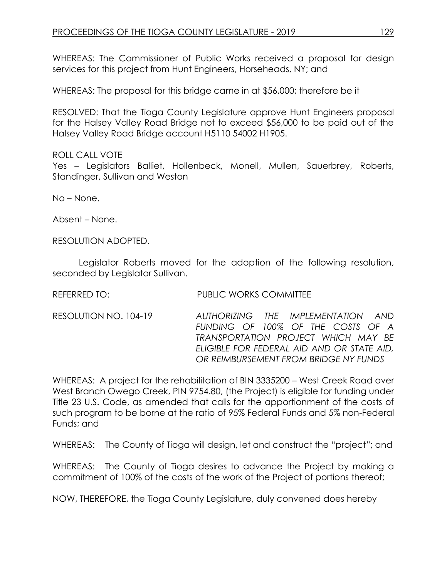WHEREAS: The Commissioner of Public Works received a proposal for design services for this project from Hunt Engineers, Horseheads, NY; and

WHEREAS: The proposal for this bridge came in at \$56,000; therefore be it

RESOLVED: That the Tioga County Legislature approve Hunt Engineers proposal for the Halsey Valley Road Bridge not to exceed \$56,000 to be paid out of the Halsey Valley Road Bridge account H5110 54002 H1905.

#### ROLL CALL VOTE

Yes – Legislators Balliet, Hollenbeck, Monell, Mullen, Sauerbrey, Roberts, Standinger, Sullivan and Weston

No – None.

Absent – None.

RESOLUTION ADOPTED.

Legislator Roberts moved for the adoption of the following resolution, seconded by Leaislator Sullivan.

REFERRED TO: PUBLIC WORKS COMMITTEE

RESOLUTION NO. 104-19 *AUTHORIZING THE IMPLEMENTATION AND FUNDING OF 100% OF THE COSTS OF A TRANSPORTATION PROJECT WHICH MAY BE ELIGIBLE FOR FEDERAL AID AND OR STATE AID, OR REIMBURSEMENT FROM BRIDGE NY FUNDS* 

WHEREAS: A project for the rehabilitation of BIN 3335200 – West Creek Road over West Branch Owego Creek, PIN 9754.80, (the Project) is eligible for funding under Title 23 U.S. Code, as amended that calls for the apportionment of the costs of such program to be borne at the ratio of 95% Federal Funds and 5% non-Federal Funds; and

WHEREAS: The County of Tioga will design, let and construct the "project"; and

WHEREAS: The County of Tioga desires to advance the Project by making a commitment of 100% of the costs of the work of the Project of portions thereof;

NOW, THEREFORE, the Tioga County Legislature, duly convened does hereby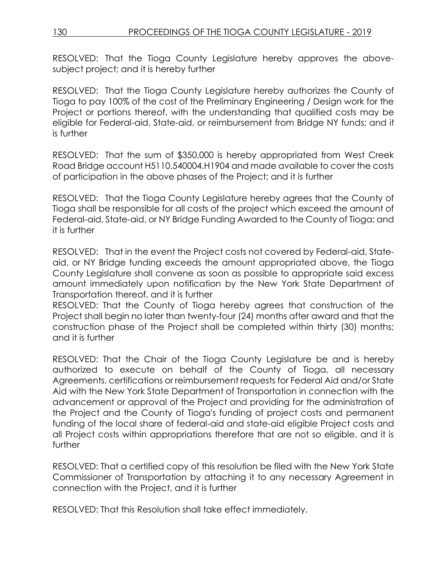RESOLVED: That the Tioga County Legislature hereby approves the abovesubject project; and it is hereby further

RESOLVED: That the Tioga County Legislature hereby authorizes the County of Tioga to pay 100% of the cost of the Preliminary Engineering / Design work for the Project or portions thereof, with the understanding that qualified costs may be eligible for Federal-aid, State-aid, or reimbursement from Bridge NY funds; and it is further

RESOLVED: That the sum of \$350,000 is hereby appropriated from West Creek Road Bridge account H5110.540004.H1904 and made available to cover the costs of participation in the above phases of the Project; and it is further

RESOLVED: That the Tioga County Legislature hereby agrees that the County of Tioga shall be responsible for all costs of the project which exceed the amount of Federal-aid, State-aid, or NY Bridge Funding Awarded to the County of Tioga; and it is further

RESOLVED: That in the event the Project costs not covered by Federal-aid, Stateaid, or NY Bridge funding exceeds the amount appropriated above, the Tioga County Legislature shall convene as soon as possible to appropriate said excess amount immediately upon notification by the New York State Department of Transportation thereof, and it is further

RESOLVED: That the County of Tioga hereby agrees that construction of the Project shall begin no later than twenty-four (24) months after award and that the construction phase of the Project shall be completed within thirty (30) months; and it is further

RESOLVED: That the Chair of the Tioga County Legislature be and is hereby authorized to execute on behalf of the County of Tioga, all necessary Agreements, certifications or reimbursement requests for Federal Aid and/or State Aid with the New York State Department of Transportation in connection with the advancement or approval of the Project and providing for the administration of the Project and the County of Tioga's funding of project costs and permanent funding of the local share of federal-aid and state-aid eligible Project costs and all Project costs within appropriations therefore that are not so eligible, and it is further

RESOLVED: That a certified copy of this resolution be filed with the New York State Commissioner of Transportation by attaching it to any necessary Agreement in connection with the Project, and it is further

RESOLVED: That this Resolution shall take effect immediately.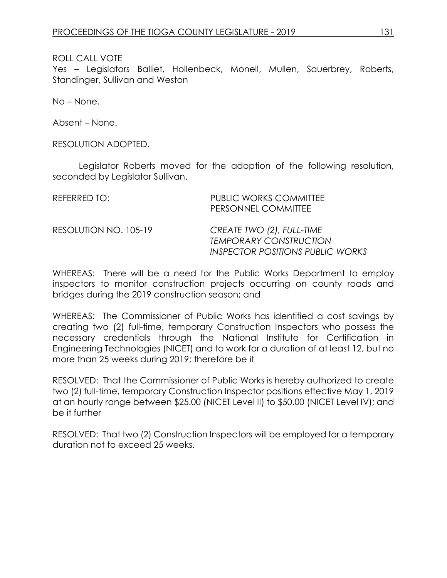Yes – Legislators Balliet, Hollenbeck, Monell, Mullen, Sauerbrey, Roberts, Standinger, Sullivan and Weston

No – None.

Absent – None.

RESOLUTION ADOPTED.

Legislator Roberts moved for the adoption of the following resolution, seconded by Legislator Sullivan.

| REFERRED TO:          | <b>PUBLIC WORKS COMMITTEE</b><br>PERSONNEL COMMITTEE                                           |
|-----------------------|------------------------------------------------------------------------------------------------|
| RESOLUTION NO. 105-19 | CREATE TWO (2), FULL-TIME<br><b>TEMPORARY CONSTRUCTION</b><br>INSPECTOR POSITIONS PUBLIC WORKS |

WHEREAS: There will be a need for the Public Works Department to employ inspectors to monitor construction projects occurring on county roads and bridges during the 2019 construction season; and

WHEREAS: The Commissioner of Public Works has identified a cost savings by creating two (2) full-time, temporary Construction Inspectors who possess the necessary credentials through the National Institute for Certification in Engineering Technologies (NICET) and to work for a duration of at least 12, but no more than 25 weeks during 2019; therefore be it

RESOLVED: That the Commissioner of Public Works is hereby authorized to create two (2) full-time, temporary Construction Inspector positions effective May 1, 2019 at an hourly range between \$25.00 (NICET Level II) to \$50.00 (NICET Level IV); and be it further

RESOLVED: That two (2) Construction Inspectors will be employed for a temporary duration not to exceed 25 weeks.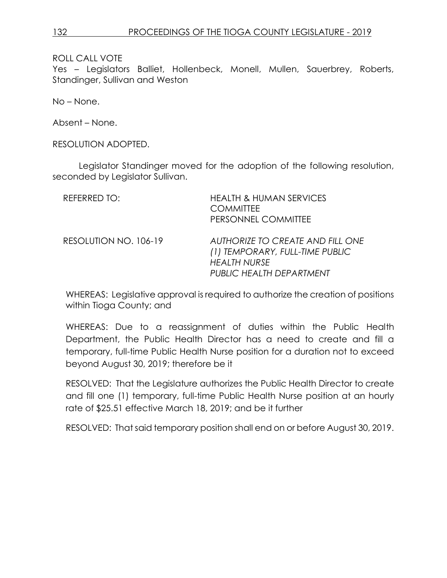Yes – Legislators Balliet, Hollenbeck, Monell, Mullen, Sauerbrey, Roberts, Standinger, Sullivan and Weston

No – None.

Absent – None.

RESOLUTION ADOPTED.

Legislator Standinger moved for the adoption of the following resolution, seconded by Legislator Sullivan.

| <b>REFERRED TO:</b>   | <b>HEALTH &amp; HUMAN SERVICES</b><br><b>COMMITTEE</b><br>PERSONNEL COMMITTEE                                                 |
|-----------------------|-------------------------------------------------------------------------------------------------------------------------------|
| RESOLUTION NO. 106-19 | <b>AUTHORIZE TO CREATE AND FILL ONE</b><br>(1) TEMPORARY, FULL-TIME PUBLIC<br><b>HEALTH NURSE</b><br>PUBLIC HEALTH DEPARTMENT |

WHEREAS: Legislative approval is required to authorize the creation of positions within Tioga County; and

WHEREAS: Due to a reassignment of duties within the Public Health Department, the Public Health Director has a need to create and fill a temporary, full-time Public Health Nurse position for a duration not to exceed beyond August 30, 2019; therefore be it

RESOLVED: That the Legislature authorizes the Public Health Director to create and fill one (1) temporary, full-time Public Health Nurse position at an hourly rate of \$25.51 effective March 18, 2019; and be it further

RESOLVED: That said temporary position shall end on or before August 30, 2019.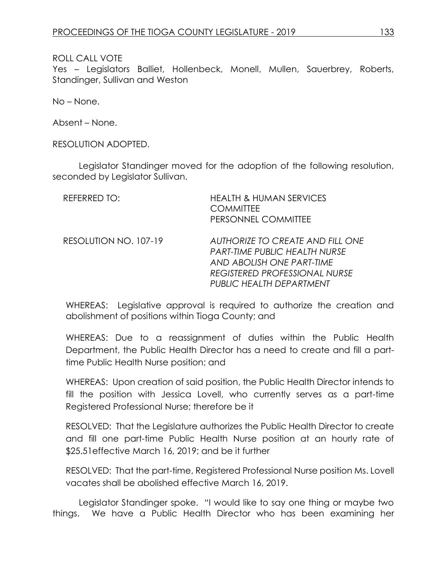Yes – Legislators Balliet, Hollenbeck, Monell, Mullen, Sauerbrey, Roberts, Standinger, Sullivan and Weston

No – None.

Absent – None.

RESOLUTION ADOPTED.

Legislator Standinger moved for the adoption of the following resolution, seconded by Legislator Sullivan.

| REFERRED TO:          | <b>HEALTH &amp; HUMAN SERVICES</b><br><b>COMMITTEE</b><br>PERSONNEL COMMITTEE                                                                                             |
|-----------------------|---------------------------------------------------------------------------------------------------------------------------------------------------------------------------|
| RESOLUTION NO. 107-19 | AUTHORIZE TO CREATE AND FILL ONE<br><b>PART-TIME PUBLIC HEALTH NURSE</b><br>AND ABOLISH ONE PART-TIME<br><b>REGISTERED PROFESSIONAL NURSE</b><br>PUBLIC HEALTH DEPARTMENT |

WHEREAS: Legislative approval is required to authorize the creation and abolishment of positions within Tioga County; and

WHEREAS: Due to a reassignment of duties within the Public Health Department, the Public Health Director has a need to create and fill a parttime Public Health Nurse position; and

WHEREAS: Upon creation of said position, the Public Health Director intends to fill the position with Jessica Lovell, who currently serves as a part-time Registered Professional Nurse; therefore be it

RESOLVED: That the Legislature authorizes the Public Health Director to create and fill one part-time Public Health Nurse position at an hourly rate of \$25.51effective March 16, 2019; and be it further

RESOLVED: That the part-time, Registered Professional Nurse position Ms. Lovell vacates shall be abolished effective March 16, 2019.

Legislator Standinger spoke. "I would like to say one thing or maybe two things. We have a Public Health Director who has been examining her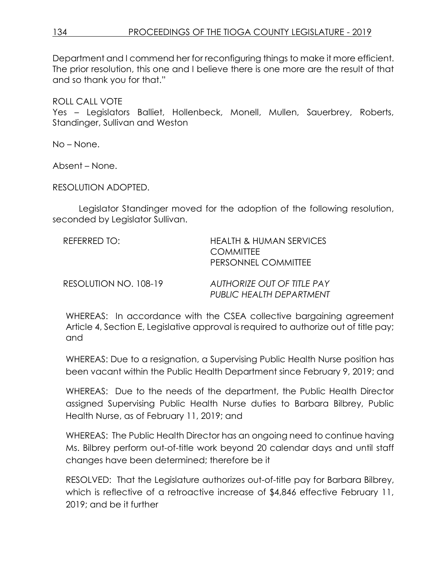Department and I commend her for reconfiguring things to make it more efficient. The prior resolution, this one and I believe there is one more are the result of that and so thank you for that."

ROLL CALL VOTE Yes – Legislators Balliet, Hollenbeck, Monell, Mullen, Sauerbrey, Roberts, Standinger, Sullivan and Weston

No – None.

Absent – None.

RESOLUTION ADOPTED.

Legislator Standinger moved for the adoption of the following resolution, seconded by Legislator Sullivan.

| REFERRED TO:          | <b>HEALTH &amp; HUMAN SERVICES</b><br><b>COMMITTEE</b><br>PERSONNEL COMMITTEE |
|-----------------------|-------------------------------------------------------------------------------|
| RESOLUTION NO. 108-19 | <b>AUTHORIZE OUT OF TITLE PAY</b><br>PUBLIC HEALTH DEPARTMENT                 |

WHEREAS: In accordance with the CSEA collective bargaining agreement Article 4, Section E, Legislative approval is required to authorize out of title pay; and

WHEREAS: Due to a resignation, a Supervising Public Health Nurse position has been vacant within the Public Health Department since February 9, 2019; and

WHEREAS: Due to the needs of the department, the Public Health Director assigned Supervising Public Health Nurse duties to Barbara Bilbrey, Public Health Nurse, as of February 11, 2019; and

WHEREAS: The Public Health Director has an ongoing need to continue having Ms. Bilbrey perform out-of-title work beyond 20 calendar days and until staff changes have been determined; therefore be it

RESOLVED: That the Legislature authorizes out-of-title pay for Barbara Bilbrey, which is reflective of a retroactive increase of \$4,846 effective February 11, 2019; and be it further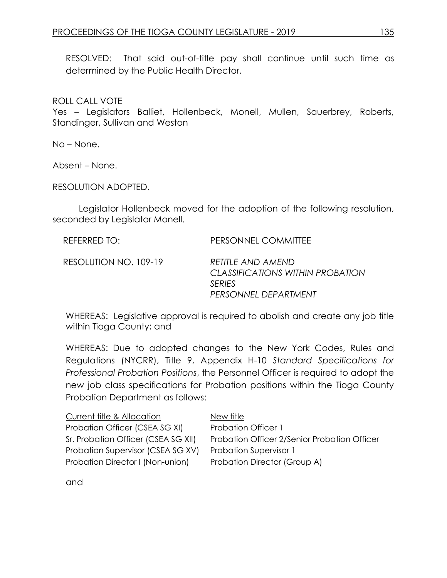RESOLVED: That said out-of-title pay shall continue until such time as determined by the Public Health Director.

ROLL CALL VOTE

Yes – Legislators Balliet, Hollenbeck, Monell, Mullen, Sauerbrey, Roberts, Standinger, Sullivan and Weston

No – None.

Absent – None.

RESOLUTION ADOPTED.

Legislator Hollenbeck moved for the adoption of the following resolution, seconded by Legislator Monell.

| REFERRED TO:          | PERSONNEL COMMITTEE                                                                             |
|-----------------------|-------------------------------------------------------------------------------------------------|
| RESOLUTION NO. 109-19 | RETITI E AND AMEND<br>CLASSIFICATIONS WITHIN PROBATION<br><b>SERIES</b><br>PERSONNEL DEPARTMENT |

WHEREAS: Legislative approval is required to abolish and create any job title within Tioga County; and

WHEREAS: Due to adopted changes to the New York Codes, Rules and Regulations (NYCRR), Title 9, Appendix H-10 *Standard Specifications for Professional Probation Positions*, the Personnel Officer is required to adopt the new job class specifications for Probation positions within the Tioga County Probation Department as follows:

| Current title & Allocation          | New title                                    |
|-------------------------------------|----------------------------------------------|
| Probation Officer (CSEA SG XI)      | <b>Probation Officer 1</b>                   |
| Sr. Probation Officer (CSEA SG XII) | Probation Officer 2/Senior Probation Officer |
| Probation Supervisor (CSEA SG XV)   | <b>Probation Supervisor 1</b>                |
| Probation Director I (Non-union)    | Probation Director (Group A)                 |

and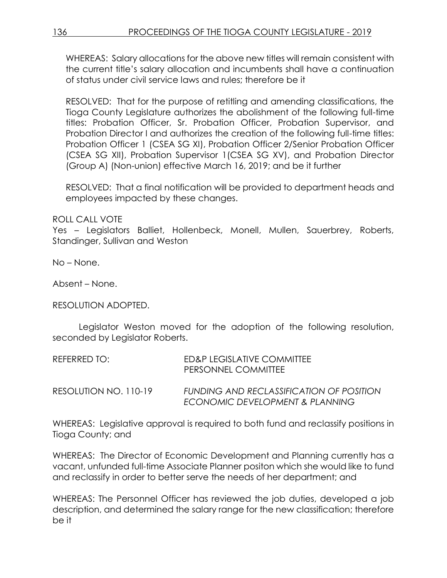WHEREAS: Salary allocations for the above new titles will remain consistent with the current title's salary allocation and incumbents shall have a continuation of status under civil service laws and rules; therefore be it

RESOLVED: That for the purpose of retitling and amending classifications, the Tioga County Legislature authorizes the abolishment of the following full-time titles: Probation Officer, Sr. Probation Officer, Probation Supervisor, and Probation Director I and authorizes the creation of the following full-time titles: Probation Officer 1 (CSEA SG XI), Probation Officer 2/Senior Probation Officer (CSEA SG XII), Probation Supervisor 1(CSEA SG XV), and Probation Director (Group A) (Non-union) effective March 16, 2019; and be it further

RESOLVED: That a final notification will be provided to department heads and employees impacted by these changes.

ROLL CALL VOTE

Yes – Legislators Balliet, Hollenbeck, Monell, Mullen, Sauerbrey, Roberts, Standinger, Sullivan and Weston

No – None.

Absent – None.

RESOLUTION ADOPTED.

Legislator Weston moved for the adoption of the following resolution, seconded by Legislator Roberts.

| REFERRED TO:          | ED&P LEGISLATIVE COMMITTEE<br>PERSONNEL COMMITTEE                           |
|-----------------------|-----------------------------------------------------------------------------|
| RESOLUTION NO. 110-19 | FUNDING AND RECLASSIFICATION OF POSITION<br>ECONOMIC DEVELOPMENT & PLANNING |

WHEREAS: Legislative approval is required to both fund and reclassify positions in Tioga County; and

WHEREAS: The Director of Economic Development and Planning currently has a vacant, unfunded full-time Associate Planner positon which she would like to fund and reclassify in order to better serve the needs of her department; and

WHEREAS: The Personnel Officer has reviewed the job duties, developed a job description, and determined the salary range for the new classification; therefore be it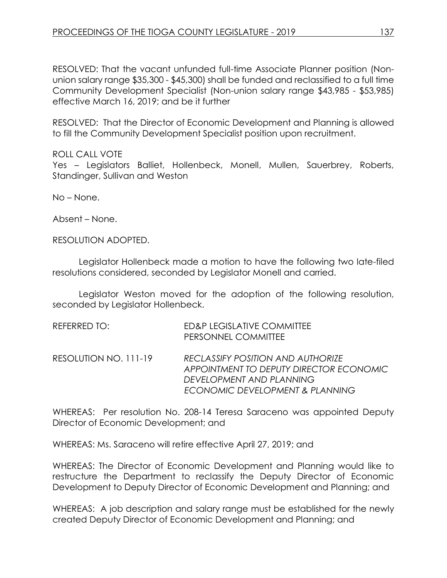RESOLVED: That the vacant unfunded full-time Associate Planner position (Nonunion salary range \$35,300 - \$45,300) shall be funded and reclassified to a full time Community Development Specialist (Non-union salary range \$43,985 - \$53,985) effective March 16, 2019; and be it further

RESOLVED: That the Director of Economic Development and Planning is allowed to fill the Community Development Specialist position upon recruitment.

## ROLL CALL VOTE

Yes – Legislators Balliet, Hollenbeck, Monell, Mullen, Sauerbrey, Roberts, Standinger, Sullivan and Weston

No – None.

Absent – None.

RESOLUTION ADOPTED.

Legislator Hollenbeck made a motion to have the following two late-filed resolutions considered, seconded by Legislator Monell and carried.

Legislator Weston moved for the adoption of the following resolution, seconded by Legislator Hollenbeck.

| REFERRED TO:          | ED&P LEGISLATIVE COMMITTEE<br>PERSONNEL COMMITTEE                                                                                           |
|-----------------------|---------------------------------------------------------------------------------------------------------------------------------------------|
| RESOLUTION NO. 111-19 | RECLASSIFY POSITION AND AUTHORIZE<br>APPOINTMENT TO DEPUTY DIRECTOR ECONOMIC<br>DEVELOPMENT AND PLANNING<br>ECONOMIC DEVELOPMENT & PLANNING |

WHEREAS: Per resolution No. 208-14 Teresa Saraceno was appointed Deputy Director of Economic Development; and

WHEREAS: Ms. Saraceno will retire effective April 27, 2019; and

WHEREAS: The Director of Economic Development and Planning would like to restructure the Department to reclassify the Deputy Director of Economic Development to Deputy Director of Economic Development and Planning; and

WHEREAS: A job description and salary range must be established for the newly created Deputy Director of Economic Development and Planning; and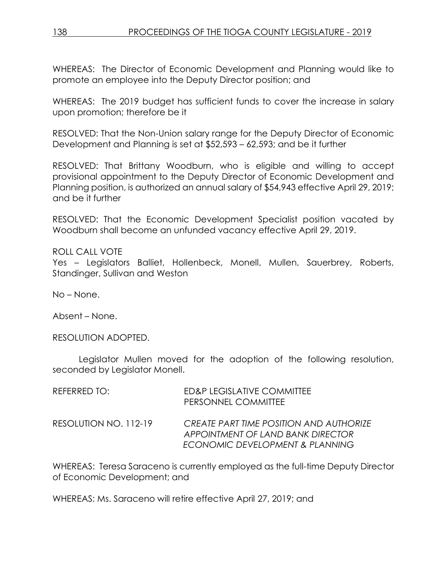WHEREAS: The Director of Economic Development and Planning would like to promote an employee into the Deputy Director position; and

WHEREAS: The 2019 budget has sufficient funds to cover the increase in salary upon promotion; therefore be it

RESOLVED: That the Non-Union salary range for the Deputy Director of Economic Development and Planning is set at \$52,593 – 62,593; and be it further

RESOLVED: That Brittany Woodburn, who is eligible and willing to accept provisional appointment to the Deputy Director of Economic Development and Planning position, is authorized an annual salary of \$54,943 effective April 29, 2019; and be it further

RESOLVED: That the Economic Development Specialist position vacated by Woodburn shall become an unfunded vacancy effective April 29, 2019.

ROLL CALL VOTE Yes – Legislators Balliet, Hollenbeck, Monell, Mullen, Sauerbrey, Roberts, Standinger, Sullivan and Weston

No – None.

Absent – None.

RESOLUTION ADOPTED.

Legislator Mullen moved for the adoption of the following resolution, seconded by Legislator Monell.

| REFERRED TO:          | ED&P LEGISLATIVE COMMITTEE<br>PERSONNEL COMMITTEE                                                                      |
|-----------------------|------------------------------------------------------------------------------------------------------------------------|
| RESOLUTION NO. 112-19 | <b>CREATE PART TIME POSITION AND AUTHORIZE</b><br>APPOINTMENT OF LAND BANK DIRECTOR<br>ECONOMIC DEVELOPMENT & PLANNING |

WHEREAS: Teresa Saraceno is currently employed as the full-time Deputy Director of Economic Development; and

WHEREAS: Ms. Saraceno will retire effective April 27, 2019; and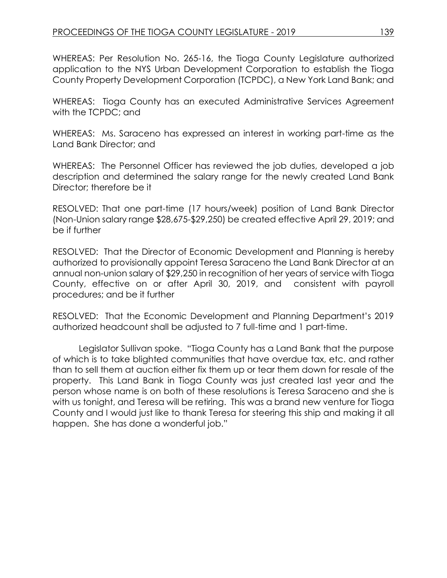WHEREAS: Per Resolution No. 265-16, the Tioga County Legislature authorized application to the NYS Urban Development Corporation to establish the Tioga County Property Development Corporation (TCPDC), a New York Land Bank; and

WHEREAS: Tioga County has an executed Administrative Services Agreement with the TCPDC; and

WHEREAS: Ms. Saraceno has expressed an interest in working part-time as the Land Bank Director; and

WHEREAS: The Personnel Officer has reviewed the job duties, developed a job description and determined the salary range for the newly created Land Bank Director; therefore be it

RESOLVED: That one part-time (17 hours/week) position of Land Bank Director (Non-Union salary range \$28,675-\$29,250) be created effective April 29, 2019; and be if further

RESOLVED: That the Director of Economic Development and Planning is hereby authorized to provisionally appoint Teresa Saraceno the Land Bank Director at an annual non-union salary of \$29,250 in recognition of her years of service with Tioga County, effective on or after April 30, 2019, and consistent with payroll procedures; and be it further

RESOLVED: That the Economic Development and Planning Department's 2019 authorized headcount shall be adjusted to 7 full-time and 1 part-time.

Legislator Sullivan spoke. "Tioga County has a Land Bank that the purpose of which is to take blighted communities that have overdue tax, etc. and rather than to sell them at auction either fix them up or tear them down for resale of the property. This Land Bank in Tioga County was just created last year and the person whose name is on both of these resolutions is Teresa Saraceno and she is with us tonight, and Teresa will be retiring. This was a brand new venture for Tioga County and I would just like to thank Teresa for steering this ship and making it all happen. She has done a wonderful job."